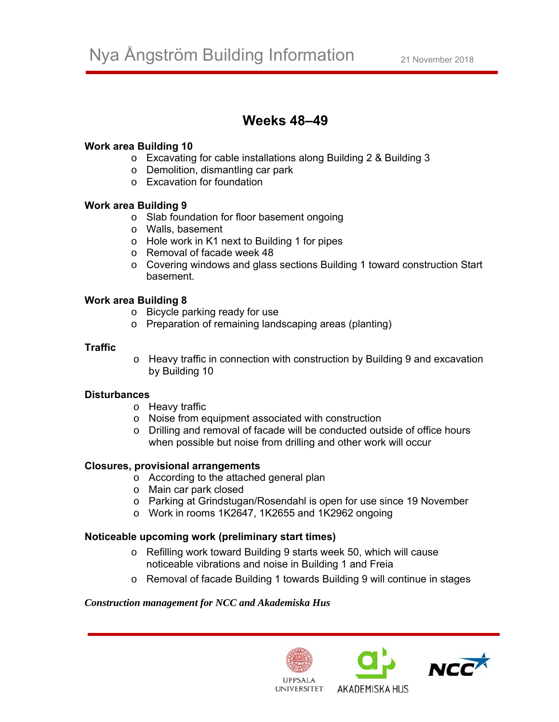# **Weeks 48–49**

# **Work area Building 10**

- o Excavating for cable installations along Building 2 & Building 3
- o Demolition, dismantling car park
- o Excavation for foundation

### **Work area Building 9**

- o Slab foundation for floor basement ongoing
- o Walls, basement
- o Hole work in K1 next to Building 1 for pipes
- o Removal of facade week 48
- o Covering windows and glass sections Building 1 toward construction Start basement.

# **Work area Building 8**

- o Bicycle parking ready for use
- o Preparation of remaining landscaping areas (planting)

### **Traffic**

o Heavy traffic in connection with construction by Building 9 and excavation by Building 10

### **Disturbances**

- o Heavy traffic
- o Noise from equipment associated with construction
- o Drilling and removal of facade will be conducted outside of office hours when possible but noise from drilling and other work will occur

### **Closures, provisional arrangements**

- o According to the attached general plan
- o Main car park closed
- o Parking at Grindstugan/Rosendahl is open for use since 19 November
- o Work in rooms 1K2647, 1K2655 and 1K2962 ongoing

### **Noticeable upcoming work (preliminary start times)**

- o Refilling work toward Building 9 starts week 50, which will cause noticeable vibrations and noise in Building 1 and Freia
- o Removal of facade Building 1 towards Building 9 will continue in stages

### *Construction management for NCC and Akademiska Hus*